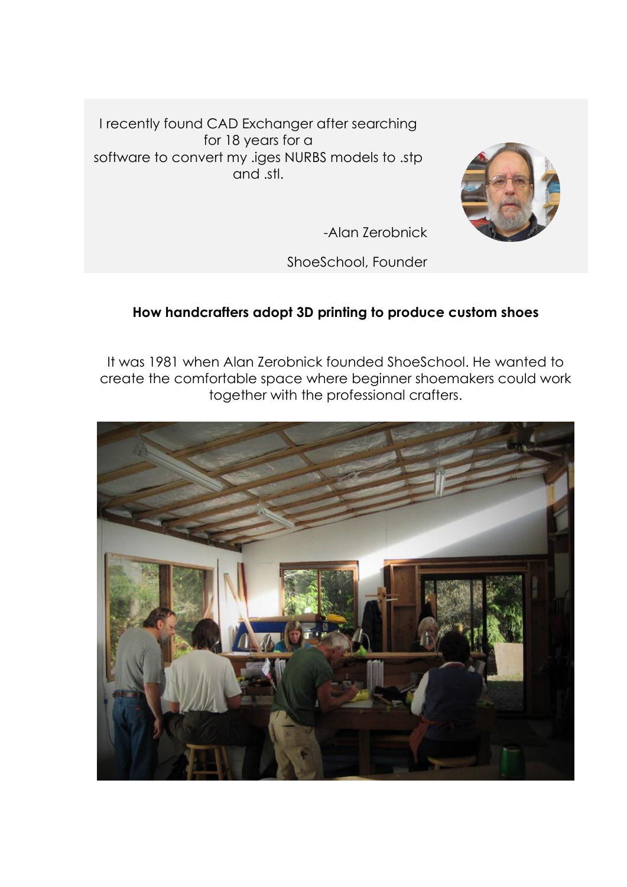I recently found CAD Exchanger after searching for 18 years for a software to convert my .iges NURBS models to .stp and .stl.



-Alan Zerobnick

ShoeSchool, Founder

## **How handcrafters adopt 3D printing to produce custom shoes**

It was 1981 when Alan Zerobnick founded ShoeSchool. He wanted to create the comfortable space where beginner shoemakers could work together with the professional crafters.

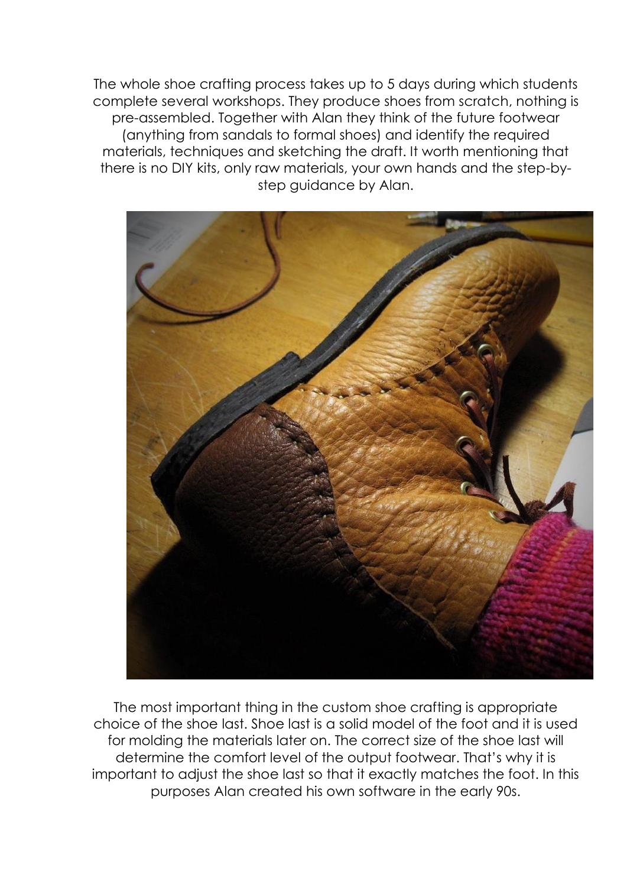The whole shoe crafting process takes up to 5 days during which students complete several workshops. They produce shoes from scratch, nothing is pre-assembled. Together with Alan they think of the future footwear (anything from sandals to formal shoes) and identify the required materials, techniques and sketching the draft. It worth mentioning that there is no DIY kits, only raw materials, your own hands and the step-bystep guidance by Alan.



The most important thing in the custom shoe crafting is appropriate choice of the shoe last. Shoe last is a solid model of the foot and it is used for molding the materials later on. The correct size of the shoe last will determine the comfort level of the output footwear. That's why it is important to adjust the shoe last so that it exactly matches the foot. In this purposes Alan created his own software in the early 90s.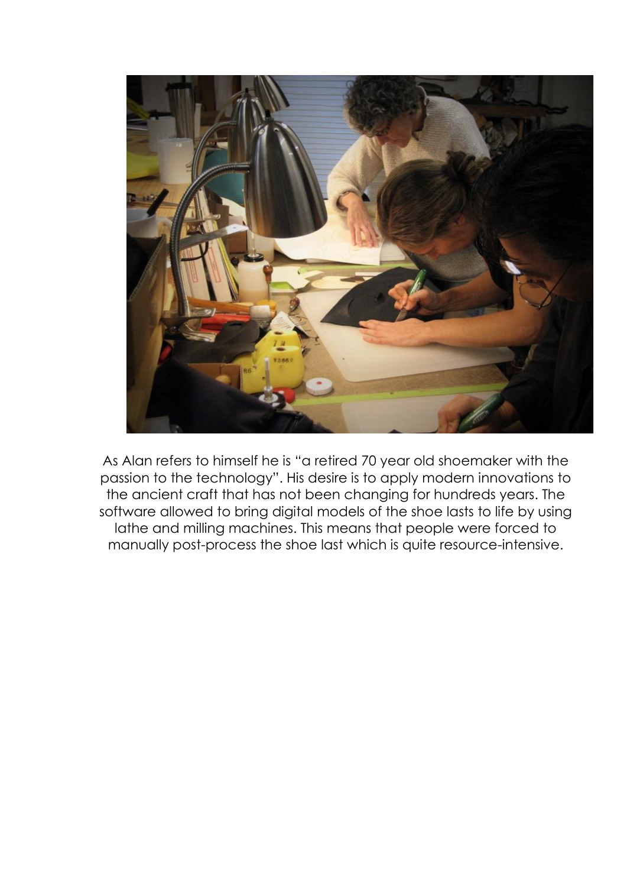

As Alan refers to himself he is "a retired 70 year old shoemaker with the passion to the technology". His desire is to apply modern innovations to the ancient craft that has not been changing for hundreds years. The software allowed to bring digital models of the shoe lasts to life by using lathe and milling machines. This means that people were forced to manually post-process the shoe last which is quite resource-intensive.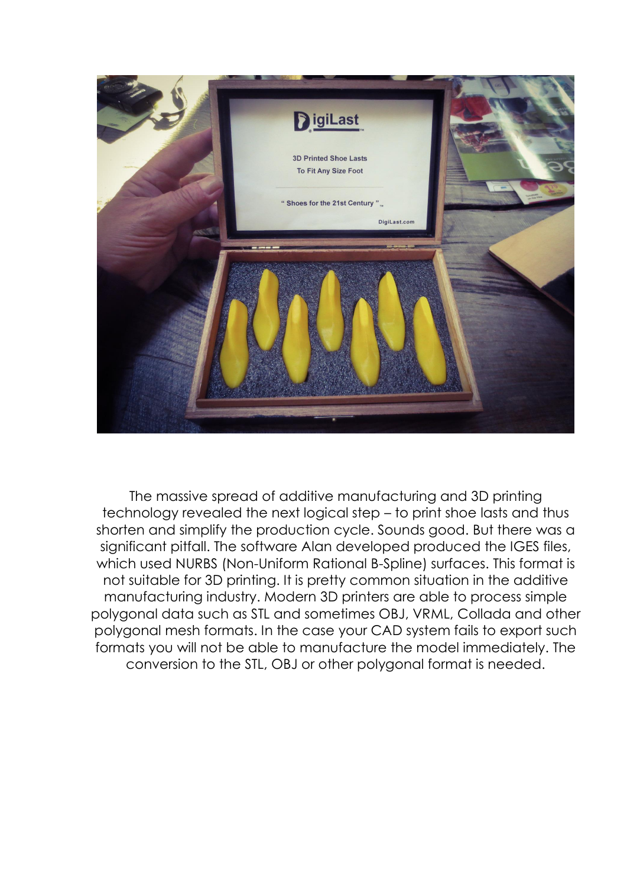

The massive spread of additive manufacturing and 3D printing technology revealed the next logical step – to print shoe lasts and thus shorten and simplify the production cycle. Sounds good. But there was a significant pitfall. The software Alan developed produced the IGES files, which used NURBS (Non-Uniform Rational B-Spline) surfaces. This format is not suitable for 3D printing. It is pretty common situation in the additive manufacturing industry. Modern 3D printers are able to process simple polygonal data such as STL and sometimes OBJ, VRML, Collada and other polygonal mesh formats. In the case your CAD system fails to export such formats you will not be able to manufacture the model immediately. The conversion to the STL, OBJ or other polygonal format is needed.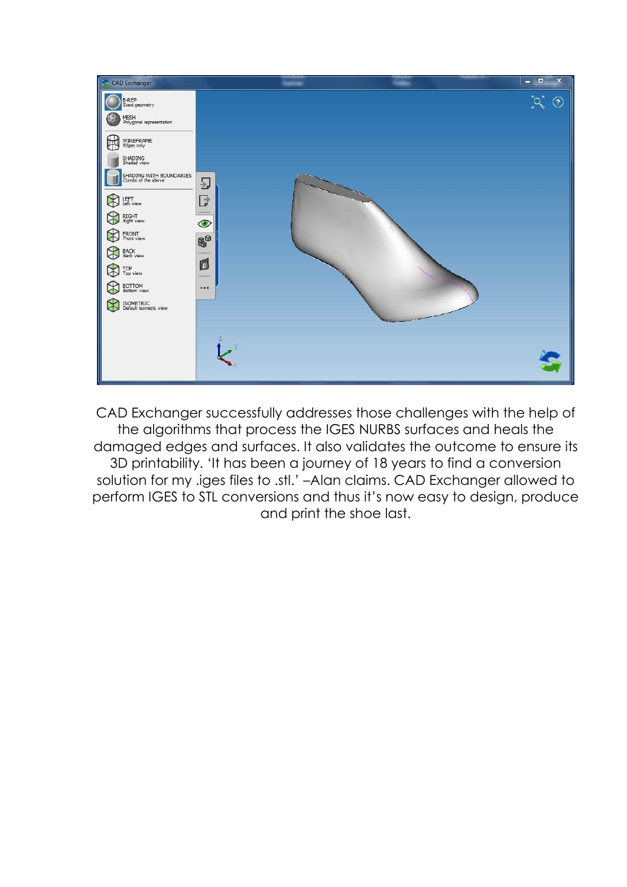

CAD Exchanger successfully addresses those challenges with the help of the algorithms that process the IGES NURBS surfaces and heals the damaged edges and surfaces. It also validates the outcome to ensure its 3D printability. 'It has been a journey of 18 years to find a conversion solution for my .iges files to .stl.' –Alan claims. CAD Exchanger allowed to perform IGES to STL conversions and thus it's now easy to design, produce and print the shoe last.